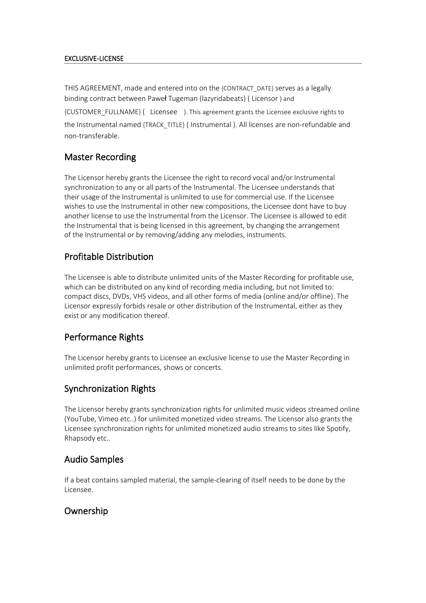#### EXCLUSIVE-LICENSE

THIS AGREEMENT, made and entered into on the {CONTRACT\_DATE} serves as a legally binding contract between Paweł Tugeman (lazyridabeats) ( Licensor ) and

{CUSTOMER\_FULLNAME} ( Licensee ). This agreement grants the Licensee exclusive rights to the Instrumental named {TRACK\_TITLE} ( Instrumental ). All licenses are non-refundable and non-transferable.

## Master Recording

The Licensor hereby grants the Licensee the right to record vocal and/or Instrumental synchronization to any or all parts of the Instrumental. The Licensee understands that their usage of the Instrumental is unlimited to use for commercial use. If the Licensee wishes to use the Instrumental in other new compositions, the Licensee dont have to buy another license to use the Instrumental from the Licensor. The Licensee is allowed to edit the Instrumental that is being licensed in this agreement, by changing the arrangement of the Instrumental or by removing/adding any melodies, instruments.

## Profitable Distribution

The Licensee is able to distribute unlimited units of the Master Recording for profitable use, which can be distributed on any kind of recording media including, but not limited to: compact discs, DVDs, VHS videos, and all other forms of media (online and/or offline). The Licensor expressly forbids resale or other distribution of the Instrumental, either as they exist or any modification thereof.

### Performance Rights

The Licensor hereby grants to Licensee an exclusive license to use the Master Recording in unlimited profit performances, shows or concerts.

# Synchronization Rights

The Licensor hereby grants synchronization rights for unlimited music videos streamed online (YouTube, Vimeo etc..) for unlimited monetized video streams. The Licensor also grants the Licensee synchronization rights for unlimited monetized audio streams to sites like Spotify, Rhapsody etc..

### Audio Samples

If a beat contains sampled material, the sample-clearing of itself needs to be done by the Licensee.

# Ownership